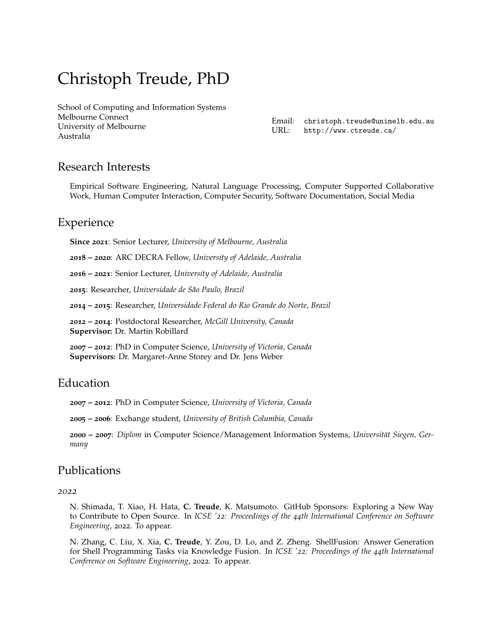# Christoph Treude, PhD

[School of Computing and Information Systems](https://cis.unimelb.edu.au/) Melbourne Connect [University of Melbourne](https://www.unimelb.edu.au/) Australia

Email: [christoph.treude@unimelb.edu.au](mailto:christoph.treude@unimelb.edu.au) URL: <http://www.ctreude.ca/>

# Research Interests

Empirical Software Engineering, Natural Language Processing, Computer Supported Collaborative Work, Human Computer Interaction, Computer Security, Software Documentation, Social Media

# Experience

**Since 2021**: Senior Lecturer, *University of Melbourne, Australia*

**2018 – 2020**: ARC DECRA Fellow, *University of Adelaide, Australia*

**2016 – 2021**: Senior Lecturer, *University of Adelaide, Australia*

**2015**: Researcher, *Universidade de São Paulo, Brazil*

**2014 – 2015**: Researcher, *Universidade Federal do Rio Grande do Norte, Brazil*

**2012 – 2014**: Postdoctoral Researcher, *McGill University, Canada* **Supervisor:** Dr. Martin Robillard

**2007 – 2012**: PhD in Computer Science, *University of Victoria, Canada* **Supervisors:** Dr. Margaret-Anne Storey and Dr. Jens Weber

# Education

**2007 – 2012**: PhD in Computer Science, *University of Victoria, Canada*

**2005 – 2006**: Exchange student, *University of British Columbia, Canada*

**2000 – 2007**: *Diplom* in Computer Science/Management Information Systems, *Universität Siegen, Germany*

# Publications

#### *2022*

N. Shimada, T. Xiao, H. Hata, **C. Treude**, K. Matsumoto. GitHub Sponsors: Exploring a New Way to Contribute to Open Source. In *ICSE '22: Proceedings of the 44th International Conference on Software Engineering*, 2022. To appear.

N. Zhang, C. Liu, X. Xia, **C. Treude**, Y. Zou, D. Lo, and Z. Zheng. ShellFusion: Answer Generation for Shell Programming Tasks via Knowledge Fusion. In *ICSE '22: Proceedings of the 44th International Conference on Software Engineering*, 2022. To appear.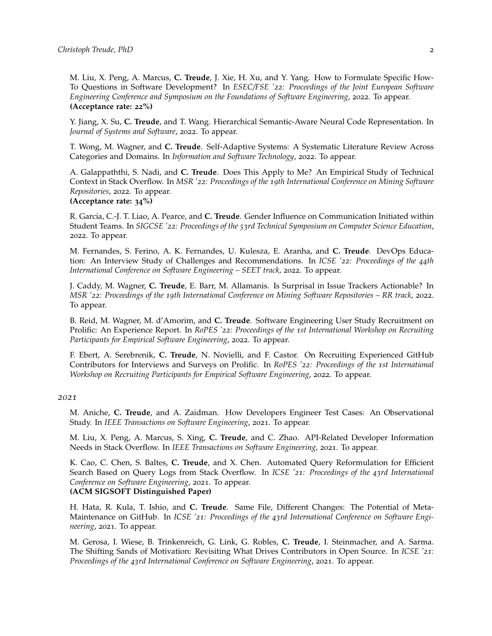M. Liu, X. Peng, A. Marcus, **C. Treude**, J. Xie, H. Xu, and Y. Yang. How to Formulate Specific How-To Questions in Software Development? In *ESEC/FSE '22: Proceedings of the Joint European Software Engineering Conference and Symposium on the Foundations of Software Engineering*, 2022. To appear. **(Acceptance rate: 22%)**

Y. Jiang, X. Su, **C. Treude**, and T. Wang. Hierarchical Semantic-Aware Neural Code Representation. In *Journal of Systems and Software*, 2022. To appear.

T. Wong, M. Wagner, and **C. Treude**. Self-Adaptive Systems: A Systematic Literature Review Across Categories and Domains. In *Information and Software Technology*, 2022. To appear.

A. Galappaththi, S. Nadi, and **C. Treude**. Does This Apply to Me? An Empirical Study of Technical Context in Stack Overflow. In *MSR '22: Proceedings of the 19th International Conference on Mining Software Repositories*, 2022. To appear.

### **(Acceptance rate: 34%)**

R. Garcia, C.-J. T. Liao, A. Pearce, and **C. Treude**. Gender Influence on Communication Initiated within Student Teams. In *SIGCSE '22: Proceedings of the 53rd Technical Symposium on Computer Science Education*, 2022. To appear.

M. Fernandes, S. Ferino, A. K. Fernandes, U. Kulesza, E. Aranha, and **C. Treude**. DevOps Education: An Interview Study of Challenges and Recommendations. In *ICSE '22: Proceedings of the 44th International Conference on Software Engineering – SEET track*, 2022. To appear.

J. Caddy, M. Wagner, **C. Treude**, E. Barr, M. Allamanis. Is Surprisal in Issue Trackers Actionable? In *MSR '22: Proceedings of the 19th International Conference on Mining Software Repositories – RR track*, 2022. To appear.

B. Reid, M. Wagner, M. d'Amorim, and **C. Treude**. Software Engineering User Study Recruitment on Prolific: An Experience Report. In *RoPES '22: Proceedings of the 1st International Workshop on Recruiting Participants for Empirical Software Engineering*, 2022. To appear.

F. Ebert, A. Serebrenik, **C. Treude**, N. Novielli, and F. Castor. On Recruiting Experienced GitHub Contributors for Interviews and Surveys on Prolific. In *RoPES '22: Proceedings of the 1st International Workshop on Recruiting Participants for Empirical Software Engineering*, 2022. To appear.

#### *2021*

M. Aniche, **C. Treude**, and A. Zaidman. How Developers Engineer Test Cases: An Observational Study. In *IEEE Transactions on Software Engineering*, 2021. To appear.

M. Liu, X. Peng, A. Marcus, S. Xing, **C. Treude**, and C. Zhao. API-Related Developer Information Needs in Stack Overflow. In *IEEE Transactions on Software Engineering*, 2021. To appear.

K. Cao, C. Chen, S. Baltes, **C. Treude**, and X. Chen. Automated Query Reformulation for Efficient Search Based on Query Logs from Stack Overflow. In *ICSE '21: Proceedings of the 43rd International Conference on Software Engineering*, 2021. To appear. **(ACM SIGSOFT Distinguished Paper)**

H. Hata, R. Kula, T. Ishio, and **C. Treude**. Same File, Different Changes: The Potential of Meta-Maintenance on GitHub. In *ICSE '21: Proceedings of the 43rd International Conference on Software Engineering*, 2021. To appear.

M. Gerosa, I. Wiese, B. Trinkenreich, G. Link, G. Robles, **C. Treude**, I. Steinmacher, and A. Sarma. The Shifting Sands of Motivation: Revisiting What Drives Contributors in Open Source. In *ICSE '21: Proceedings of the 43rd International Conference on Software Engineering*, 2021. To appear.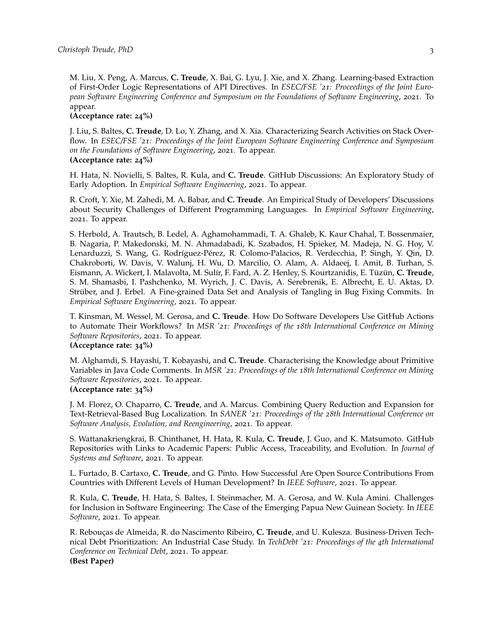M. Liu, X. Peng, A. Marcus, **C. Treude**, X. Bai, G. Lyu, J. Xie, and X. Zhang. Learning-based Extraction of First-Order Logic Representations of API Directives. In *ESEC/FSE '21: Proceedings of the Joint European Software Engineering Conference and Symposium on the Foundations of Software Engineering*, 2021. To appear.

**(Acceptance rate: 24%)**

J. Liu, S. Baltes, **C. Treude**, D. Lo, Y. Zhang, and X. Xia. Characterizing Search Activities on Stack Overflow. In *ESEC/FSE '21: Proceedings of the Joint European Software Engineering Conference and Symposium on the Foundations of Software Engineering*, 2021. To appear. **(Acceptance rate: 24%)**

H. Hata, N. Novielli, S. Baltes, R. Kula, and **C. Treude**. GitHub Discussions: An Exploratory Study of Early Adoption. In *Empirical Software Engineering*, 2021. To appear.

R. Croft, Y. Xie, M. Zahedi, M. A. Babar, and **C. Treude**. An Empirical Study of Developers' Discussions about Security Challenges of Different Programming Languages. In *Empirical Software Engineering*, 2021. To appear.

S. Herbold, A. Trautsch, B. Ledel, A. Aghamohammadi, T. A. Ghaleb, K. Kaur Chahal, T. Bossenmaier, B. Nagaria, P. Makedonski, M. N. Ahmadabadi, K. Szabados, H. Spieker, M. Madeja, N. G. Hoy, V. Lenarduzzi, S. Wang, G. Rodríguez-Pérez, R. Colomo-Palacios, R. Verdecchia, P. Singh, Y. Qin, D. Chakroborti, W. Davis, V. Walunj, H. Wu, D. Marcilio, O. Alam, A. Aldaeej, I. Amit, B. Turhan, S. Eismann, A. Wickert, I. Malavolta, M. Sulír, F. Fard, A. Z. Henley, S. Kourtzanidis, E. Tüzün, **C. Treude**, S. M. Shamasbi, I. Pashchenko, M. Wyrich, J. C. Davis, A. Serebrenik, E. Albrecht, E. U. Aktas, D. Strüber, and J. Erbel. A Fine-grained Data Set and Analysis of Tangling in Bug Fixing Commits. In *Empirical Software Engineering*, 2021. To appear.

T. Kinsman, M. Wessel, M. Gerosa, and **C. Treude**. How Do Software Developers Use GitHub Actions to Automate Their Workflows? In *MSR '21: Proceedings of the 18th International Conference on Mining Software Repositories*, 2021. To appear. **(Acceptance rate: 34%)**

M. Alghamdi, S. Hayashi, T. Kobayashi, and **C. Treude**. Characterising the Knowledge about Primitive Variables in Java Code Comments. In *MSR '21: Proceedings of the 18th International Conference on Mining Software Repositories*, 2021. To appear.

#### **(Acceptance rate: 34%)**

J. M. Florez, O. Chaparro, **C. Treude**, and A. Marcus. Combining Query Reduction and Expansion for Text-Retrieval-Based Bug Localization. In *SANER '21: Proceedings of the 28th International Conference on Software Analysis, Evolution, and Reengineering*, 2021. To appear.

S. Wattanakriengkrai, B. Chinthanet, H. Hata, R. Kula, **C. Treude**, J. Guo, and K. Matsumoto. GitHub Repositories with Links to Academic Papers: Public Access, Traceability, and Evolution. In *Journal of Systems and Software*, 2021. To appear.

L. Furtado, B. Cartaxo, **C. Treude**, and G. Pinto. How Successful Are Open Source Contributions From Countries with Different Levels of Human Development? In *IEEE Software*, 2021. To appear.

R. Kula, **C. Treude**, H. Hata, S. Baltes, I. Steinmacher, M. A. Gerosa, and W. Kula Amini. Challenges for Inclusion in Software Engineering: The Case of the Emerging Papua New Guinean Society. In *IEEE Software*, 2021. To appear.

R. Rebouças de Almeida, R. do Nascimento Ribeiro, **C. Treude**, and U. Kulesza. Business-Driven Technical Debt Prioritization: An Industrial Case Study. In *TechDebt '21: Proceedings of the 4th International Conference on Technical Debt*, 2021. To appear. **(Best Paper)**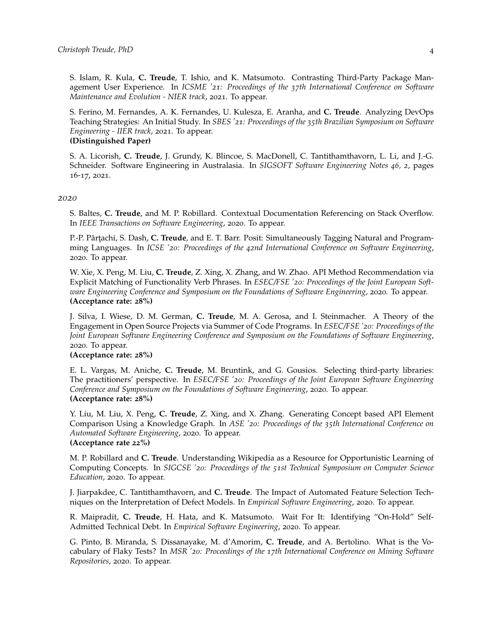S. Islam, R. Kula, **C. Treude**, T. Ishio, and K. Matsumoto. Contrasting Third-Party Package Management User Experience. In *ICSME '21: Proceedings of the 37th International Conference on Software Maintenance and Evolution - NIER track*, 2021. To appear.

S. Ferino, M. Fernandes, A. K. Fernandes, U. Kulesza, E. Aranha, and **C. Treude**. Analyzing DevOps Teaching Strategies: An Initial Study. In *SBES '21: Proceedings of the 35th Brazilian Symposium on Software Engineering - IIER track*, 2021. To appear. **(Distinguished Paper)**

S. A. Licorish, **C. Treude**, J. Grundy, K. Blincoe, S. MacDonell, C. Tantithamthavorn, L. Li, and J.-G. Schneider. Software Engineering in Australasia. In *SIGSOFT Software Engineering Notes 46, 2*, pages 16-17, 2021.

#### *2020*

S. Baltes, **C. Treude**, and M. P. Robillard. Contextual Documentation Referencing on Stack Overflow. In *IEEE Transactions on Software Engineering*, 2020. To appear.

P.-P. Pârțachi, S. Dash, C. Treude, and E. T. Barr. Posit: Simultaneously Tagging Natural and Programming Languages. In *ICSE '20: Proceedings of the 42nd International Conference on Software Engineering*, 2020. To appear.

W. Xie, X. Peng, M. Liu, **C. Treude**, Z. Xing, X. Zhang, and W. Zhao. API Method Recommendation via Explicit Matching of Functionality Verb Phrases. In *ESEC/FSE '20: Proceedings of the Joint European Software Engineering Conference and Symposium on the Foundations of Software Engineering*, 2020. To appear. **(Acceptance rate: 28%)**

J. Silva, I. Wiese, D. M. German, **C. Treude**, M. A. Gerosa, and I. Steinmacher. A Theory of the Engagement in Open Source Projects via Summer of Code Programs. In *ESEC/FSE '20: Proceedings of the Joint European Software Engineering Conference and Symposium on the Foundations of Software Engineering*, 2020. To appear.

#### **(Acceptance rate: 28%)**

E. L. Vargas, M. Aniche, **C. Treude**, M. Bruntink, and G. Gousios. Selecting third-party libraries: The practitioners' perspective. In *ESEC/FSE '20: Proceedings of the Joint European Software Engineering Conference and Symposium on the Foundations of Software Engineering*, 2020. To appear. **(Acceptance rate: 28%)**

Y. Liu, M. Liu, X. Peng, **C. Treude**, Z. Xing, and X. Zhang. Generating Concept based API Element Comparison Using a Knowledge Graph. In *ASE '20: Proceedings of the 35th International Conference on Automated Software Engineering*, 2020. To appear. **(Acceptance rate 22%)**

## M. P. Robillard and **C. Treude**. Understanding Wikipedia as a Resource for Opportunistic Learning of Computing Concepts. In *SIGCSE '20: Proceedings of the 51st Technical Symposium on Computer Science Education*, 2020. To appear.

J. Jiarpakdee, C. Tantithamthavorn, and **C. Treude**. The Impact of Automated Feature Selection Techniques on the Interpretation of Defect Models. In *Empirical Software Engineering*, 2020. To appear.

R. Maipradit, **C. Treude**, H. Hata, and K. Matsumoto. Wait For It: Identifying "On-Hold" Self-Admitted Technical Debt. In *Empirical Software Engineering*, 2020. To appear.

G. Pinto, B. Miranda, S. Dissanayake, M. d'Amorim, **C. Treude**, and A. Bertolino. What is the Vocabulary of Flaky Tests? In *MSR '20: Proceedings of the 17th International Conference on Mining Software Repositories*, 2020. To appear.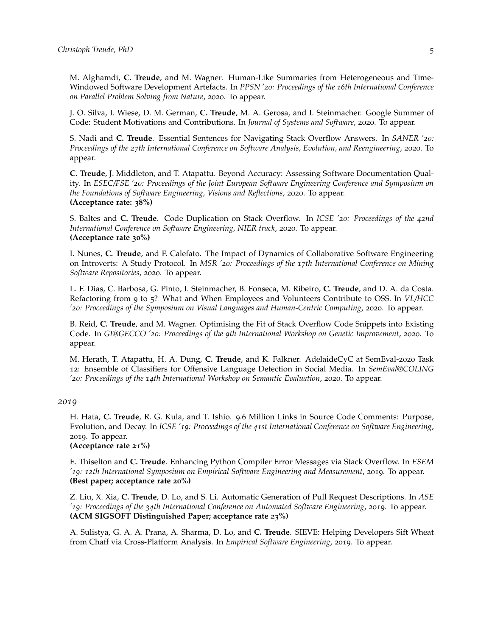M. Alghamdi, **C. Treude**, and M. Wagner. Human-Like Summaries from Heterogeneous and Time-Windowed Software Development Artefacts. In *PPSN '20: Proceedings of the 16th International Conference on Parallel Problem Solving from Nature*, 2020. To appear.

J. O. Silva, I. Wiese, D. M. German, **C. Treude**, M. A. Gerosa, and I. Steinmacher. Google Summer of Code: Student Motivations and Contributions. In *Journal of Systems and Software*, 2020. To appear.

S. Nadi and **C. Treude**. Essential Sentences for Navigating Stack Overflow Answers. In *SANER '20: Proceedings of the 27th International Conference on Software Analysis, Evolution, and Reengineering*, 2020. To appear.

**C. Treude**, J. Middleton, and T. Atapattu. Beyond Accuracy: Assessing Software Documentation Quality. In *ESEC/FSE '20: Proceedings of the Joint European Software Engineering Conference and Symposium on the Foundations of Software Engineering, Visions and Reflections*, 2020. To appear. **(Acceptance rate: 38%)**

S. Baltes and **C. Treude**. Code Duplication on Stack Overflow. In *ICSE '20: Proceedings of the 42nd International Conference on Software Engineering, NIER track*, 2020. To appear. **(Acceptance rate 30%)**

I. Nunes, **C. Treude**, and F. Calefato. The Impact of Dynamics of Collaborative Software Engineering on Introverts: A Study Protocol. In *MSR '20: Proceedings of the 17th International Conference on Mining Software Repositories*, 2020. To appear.

L. F. Dias, C. Barbosa, G. Pinto, I. Steinmacher, B. Fonseca, M. Ribeiro, **C. Treude**, and D. A. da Costa. Refactoring from 9 to 5? What and When Employees and Volunteers Contribute to OSS. In *VL/HCC '20: Proceedings of the Symposium on Visual Languages and Human-Centric Computing*, 2020. To appear.

B. Reid, **C. Treude**, and M. Wagner. Optimising the Fit of Stack Overflow Code Snippets into Existing Code. In *GI@GECCO '20: Proceedings of the 9th International Workshop on Genetic Improvement*, 2020. To appear.

M. Herath, T. Atapattu, H. A. Dung, **C. Treude**, and K. Falkner. AdelaideCyC at SemEval-2020 Task 12: Ensemble of Classifiers for Offensive Language Detection in Social Media. In *SemEval@COLING '20: Proceedings of the 14th International Workshop on Semantic Evaluation*, 2020. To appear.

#### *2019*

H. Hata, **C. Treude**, R. G. Kula, and T. Ishio. 9.6 Million Links in Source Code Comments: Purpose, Evolution, and Decay. In *ICSE '19: Proceedings of the 41st International Conference on Software Engineering*, 2019. To appear.

**(Acceptance rate 21%)**

E. Thiselton and **C. Treude**. Enhancing Python Compiler Error Messages via Stack Overflow. In *ESEM '19: 12th International Symposium on Empirical Software Engineering and Measurement*, 2019. To appear. **(Best paper; acceptance rate 20%)**

Z. Liu, X. Xia, **C. Treude**, D. Lo, and S. Li. Automatic Generation of Pull Request Descriptions. In *ASE '19: Proceedings of the 34th International Conference on Automated Software Engineering*, 2019. To appear. **(ACM SIGSOFT Distinguished Paper; acceptance rate 23%)**

A. Sulistya, G. A. A. Prana, A. Sharma, D. Lo, and **C. Treude**. SIEVE: Helping Developers Sift Wheat from Chaff via Cross-Platform Analysis. In *Empirical Software Engineering*, 2019. To appear.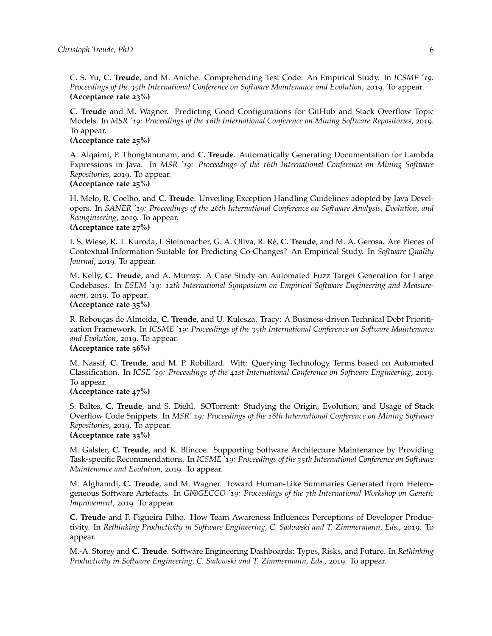C. S. Yu, **C. Treude**, and M. Aniche. Comprehending Test Code: An Empirical Study. In *ICSME '19: Proceedings of the 35th International Conference on Software Maintenance and Evolution*, 2019. To appear. **(Acceptance rate 23%)**

**C. Treude** and M. Wagner. Predicting Good Configurations for GitHub and Stack Overflow Topic Models. In *MSR '19: Proceedings of the 16th International Conference on Mining Software Repositories*, 2019. To appear.

## **(Acceptance rate 25%)**

A. Alqaimi, P. Thongtanunam, and **C. Treude**. Automatically Generating Documentation for Lambda Expressions in Java. In *MSR '19: Proceedings of the 16th International Conference on Mining Software Repositories*, 2019. To appear.

#### **(Acceptance rate 25%)**

H. Melo, R. Coelho, and **C. Treude**. Unveiling Exception Handling Guidelines adopted by Java Developers. In *SANER '19: Proceedings of the 26th International Conference on Software Analysis, Evolution, and Reengineering*, 2019. To appear.

# **(Acceptance rate 27%)**

I. S. Wiese, R. T. Kuroda, I. Steinmacher, G. A. Oliva, R. Ré, **C. Treude**, and M. A. Gerosa. Are Pieces of Contextual Information Suitable for Predicting Co-Changes? An Empirical Study. In *Software Quality Journal*, 2019. To appear.

M. Kelly, **C. Treude**, and A. Murray. A Case Study on Automated Fuzz Target Generation for Large Codebases. In *ESEM '19: 12th International Symposium on Empirical Software Engineering and Measurement*, 2019. To appear.

#### **(Acceptance rate 35%)**

R. Rebouças de Almeida, **C. Treude**, and U. Kulesza. Tracy: A Business-driven Technical Debt Prioritization Framework. In *ICSME '19: Proceedings of the 35th International Conference on Software Maintenance and Evolution*, 2019. To appear.

# **(Acceptance rate 56%)**

M. Nassif, **C. Treude**, and M. P. Robillard. Witt: Querying Technology Terms based on Automated Classification. In *ICSE '19: Proceedings of the 41st International Conference on Software Engineering*, 2019. To appear.

#### **(Acceptance rate 47%)**

S. Baltes, **C. Treude**, and S. Diehl. SOTorrent: Studying the Origin, Evolution, and Usage of Stack Overflow Code Snippets. In *MSR' 19: Proceedings of the 16th International Conference on Mining Software Repositories*, 2019. To appear.

## **(Acceptance rate 33%)**

M. Galster, **C. Treude**, and K. Blincoe. Supporting Software Architecture Maintenance by Providing Task-specific Recommendations. In *ICSME '19: Proceedings of the 35th International Conference on Software Maintenance and Evolution*, 2019. To appear.

M. Alghamdi, **C. Treude**, and M. Wagner. Toward Human-Like Summaries Generated from Heterogeneous Software Artefacts. In *GI@GECCO '19: Proceedings of the 7th International Workshop on Genetic Improvement*, 2019. To appear.

**C. Treude** and F. Figueira Filho. How Team Awareness Influences Perceptions of Developer Productivity. In *Rethinking Productivity in Software Engineering, C. Sadowski and T. Zimmermann, Eds.*, 2019. To appear.

M.-A. Storey and **C. Treude**. Software Engineering Dashboards: Types, Risks, and Future. In *Rethinking Productivity in Software Engineering, C. Sadowski and T. Zimmermann, Eds.*, 2019. To appear.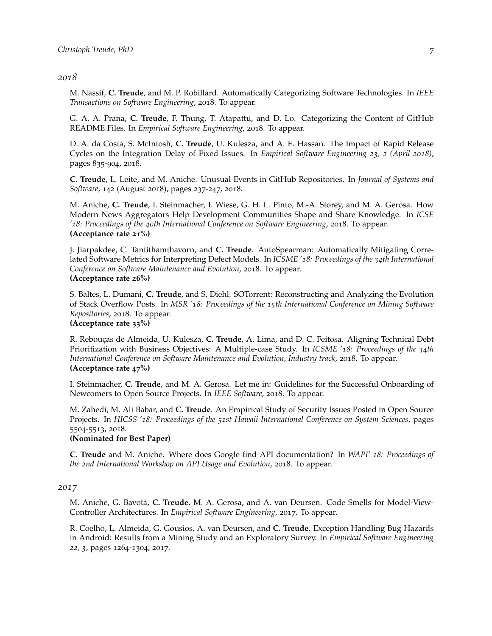#### *2018*

M. Nassif, **C. Treude**, and M. P. Robillard. Automatically Categorizing Software Technologies. In *IEEE Transactions on Software Engineering*, 2018. To appear.

G. A. A. Prana, **C. Treude**, F. Thung, T. Atapattu, and D. Lo. Categorizing the Content of GitHub README Files. In *Empirical Software Engineering*, 2018. To appear.

D. A. da Costa, S. McIntosh, **C. Treude**, U. Kulesza, and A. E. Hassan. The Impact of Rapid Release Cycles on the Integration Delay of Fixed Issues. In *Empirical Software Engineering 23, 2 (April 2018)*, pages 835-904, 2018.

**C. Treude**, L. Leite, and M. Aniche. Unusual Events in GitHub Repositories. In *Journal of Systems and Software*, 142 (August 2018), pages 237-247, 2018.

M. Aniche, **C. Treude**, I. Steinmacher, I. Wiese, G. H. L. Pinto, M.-A. Storey, and M. A. Gerosa. How Modern News Aggregators Help Development Communities Shape and Share Knowledge. In *ICSE '18: Proceedings of the 40th International Conference on Software Engineering*, 2018. To appear. **(Acceptance rate 21%)**

J. Jiarpakdee, C. Tantithamthavorn, and **C. Treude**. AutoSpearman: Automatically Mitigating Correlated Software Metrics for Interpreting Defect Models. In *ICSME '18: Proceedings of the 34th International Conference on Software Maintenance and Evolution*, 2018. To appear. **(Acceptance rate 26%)**

S. Baltes, L. Dumani, **C. Treude**, and S. Diehl. SOTorrent: Reconstructing and Analyzing the Evolution of Stack Overflow Posts. In *MSR '18: Proceedings of the 15th International Conference on Mining Software Repositories*, 2018. To appear.

# **(Acceptance rate 33%)**

R. Rebouças de Almeida, U. Kulesza, **C. Treude**, A. Lima, and D. C. Feitosa. Aligning Technical Debt Prioritization with Business Objectives: A Multiple-case Study. In *ICSME '18: Proceedings of the 34th International Conference on Software Maintenance and Evolution, Industry track*, 2018. To appear. **(Acceptance rate 47%)**

I. Steinmacher, **C. Treude**, and M. A. Gerosa. Let me in: Guidelines for the Successful Onboarding of Newcomers to Open Source Projects. In *IEEE Software*, 2018. To appear.

M. Zahedi, M. Ali Babar, and **C. Treude**. An Empirical Study of Security Issues Posted in Open Source Projects. In *HICSS '18: Proceedings of the 51st Hawaii International Conference on System Sciences*, pages 5504-5513, 2018.

#### **(Nominated for Best Paper)**

**C. Treude** and M. Aniche. Where does Google find API documentation? In *WAPI' 18: Proceedings of the 2nd International Workshop on API Usage and Evolution*, 2018. To appear.

#### *2017*

M. Aniche, G. Bavota, **C. Treude**, M. A. Gerosa, and A. van Deursen. Code Smells for Model-View-Controller Architectures. In *Empirical Software Engineering*, 2017. To appear.

R. Coelho, L. Almeida, G. Gousios, A. van Deursen, and **C. Treude**. Exception Handling Bug Hazards in Android: Results from a Mining Study and an Exploratory Survey. In *Empirical Software Engineering 22, 3*, pages 1264-1304, 2017.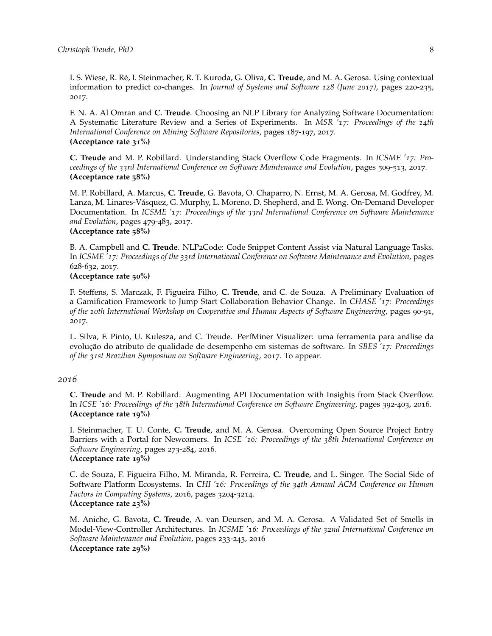I. S. Wiese, R. Ré, I. Steinmacher, R. T. Kuroda, G. Oliva, **C. Treude**, and M. A. Gerosa. Using contextual information to predict co-changes. In *Journal of Systems and Software 128 (June 2017)*, pages 220-235, 2017.

F. N. A. Al Omran and **C. Treude**. Choosing an NLP Library for Analyzing Software Documentation: A Systematic Literature Review and a Series of Experiments. In *MSR '17: Proceedings of the 14th International Conference on Mining Software Repositories*, pages 187-197, 2017. **(Acceptance rate 31%)**

**C. Treude** and M. P. Robillard. Understanding Stack Overflow Code Fragments. In *ICSME '17: Proceedings of the 33rd International Conference on Software Maintenance and Evolution*, pages 509-513, 2017. **(Acceptance rate 58%)**

M. P. Robillard, A. Marcus, **C. Treude**, G. Bavota, O. Chaparro, N. Ernst, M. A. Gerosa, M. Godfrey, M. Lanza, M. Linares-Vásquez, G. Murphy, L. Moreno, D. Shepherd, and E. Wong. On-Demand Developer Documentation. In *ICSME '17: Proceedings of the 33rd International Conference on Software Maintenance and Evolution*, pages 479-483, 2017.

## **(Acceptance rate 58%)**

B. A. Campbell and **C. Treude**. NLP2Code: Code Snippet Content Assist via Natural Language Tasks. In *ICSME '17: Proceedings of the 33rd International Conference on Software Maintenance and Evolution*, pages 628-632, 2017.

#### **(Acceptance rate 50%)**

F. Steffens, S. Marczak, F. Figueira Filho, **C. Treude**, and C. de Souza. A Preliminary Evaluation of a Gamification Framework to Jump Start Collaboration Behavior Change. In *CHASE '17: Proceedings of the 10th International Workshop on Cooperative and Human Aspects of Software Engineering*, pages 90-91, 2017.

L. Silva, F. Pinto, U. Kulesza, and C. Treude. PerfMiner Visualizer: uma ferramenta para análise da evolução do atributo de qualidade de desempenho em sistemas de software. In *SBES '17: Proceedings of the 31st Brazilian Symposium on Software Engineering*, 2017. To appear.

#### *2016*

**C. Treude** and M. P. Robillard. Augmenting API Documentation with Insights from Stack Overflow. In *ICSE '16: Proceedings of the 38th International Conference on Software Engineering*, pages 392-403, 2016. **(Acceptance rate 19%)**

I. Steinmacher, T. U. Conte, **C. Treude**, and M. A. Gerosa. Overcoming Open Source Project Entry Barriers with a Portal for Newcomers. In *ICSE '16: Proceedings of the 38th International Conference on Software Engineering*, pages 273-284, 2016. **(Acceptance rate 19%)**

C. de Souza, F. Figueira Filho, M. Miranda, R. Ferreira, **C. Treude**, and L. Singer. The Social Side of Software Platform Ecosystems. In *CHI '16: Proceedings of the 34th Annual ACM Conference on Human Factors in Computing Systems*, 2016, pages 3204-3214. **(Acceptance rate 23%)**

M. Aniche, G. Bavota, **C. Treude**, A. van Deursen, and M. A. Gerosa. A Validated Set of Smells in Model-View-Controller Architectures. In *ICSME '16: Proceedings of the 32nd International Conference on Software Maintenance and Evolution*, pages 233-243, 2016 **(Acceptance rate 29%)**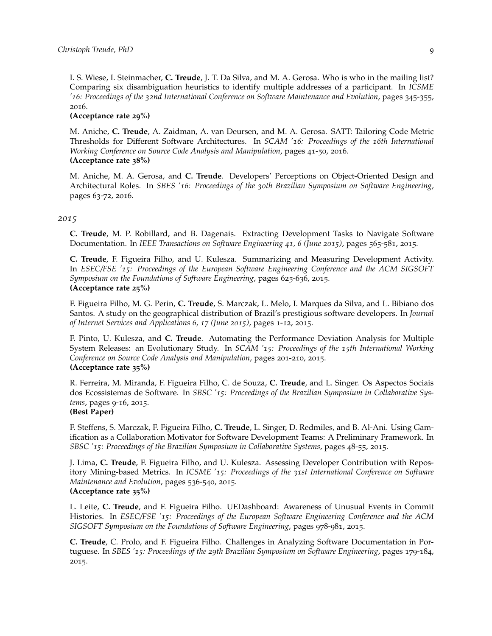I. S. Wiese, I. Steinmacher, **C. Treude**, J. T. Da Silva, and M. A. Gerosa. Who is who in the mailing list? Comparing six disambiguation heuristics to identify multiple addresses of a participant. In *ICSME '16: Proceedings of the 32nd International Conference on Software Maintenance and Evolution*, pages 345-355, 2016.

#### **(Acceptance rate 29%)**

M. Aniche, **C. Treude**, A. Zaidman, A. van Deursen, and M. A. Gerosa. SATT: Tailoring Code Metric Thresholds for Different Software Architectures. In *SCAM '16: Proceedings of the 16th International Working Conference on Source Code Analysis and Manipulation*, pages 41-50, 2016. **(Acceptance rate 38%)**

M. Aniche, M. A. Gerosa, and **C. Treude**. Developers' Perceptions on Object-Oriented Design and Architectural Roles. In *SBES '16: Proceedings of the 30th Brazilian Symposium on Software Engineering*, pages 63-72, 2016.

#### *2015*

**C. Treude**, M. P. Robillard, and B. Dagenais. Extracting Development Tasks to Navigate Software Documentation. In *IEEE Transactions on Software Engineering 41, 6 (June 2015)*, pages 565-581, 2015.

**C. Treude**, F. Figueira Filho, and U. Kulesza. Summarizing and Measuring Development Activity. In *ESEC/FSE '15: Proceedings of the European Software Engineering Conference and the ACM SIGSOFT Symposium on the Foundations of Software Engineering*, pages 625-636, 2015. **(Acceptance rate 25%)**

F. Figueira Filho, M. G. Perin, **C. Treude**, S. Marczak, L. Melo, I. Marques da Silva, and L. Bibiano dos Santos. A study on the geographical distribution of Brazil's prestigious software developers. In *Journal of Internet Services and Applications 6, 17 (June 2015)*, pages 1-12, 2015.

F. Pinto, U. Kulesza, and **C. Treude**. Automating the Performance Deviation Analysis for Multiple System Releases: an Evolutionary Study. In *SCAM '15: Proceedings of the 15th International Working Conference on Source Code Analysis and Manipulation*, pages 201-210, 2015. **(Acceptance rate 35%)**

R. Ferreira, M. Miranda, F. Figueira Filho, C. de Souza, **C. Treude**, and L. Singer. Os Aspectos Sociais dos Ecossistemas de Software. In *SBSC '15: Proceedings of the Brazilian Symposium in Collaborative Systems*, pages 9-16, 2015.

# **(Best Paper)**

F. Steffens, S. Marczak, F. Figueira Filho, **C. Treude**, L. Singer, D. Redmiles, and B. Al-Ani. Using Gamification as a Collaboration Motivator for Software Development Teams: A Preliminary Framework. In *SBSC '15: Proceedings of the Brazilian Symposium in Collaborative Systems*, pages 48-55, 2015.

J. Lima, **C. Treude**, F. Figueira Filho, and U. Kulesza. Assessing Developer Contribution with Repository Mining-based Metrics. In *ICSME '15: Proceedings of the 31st International Conference on Software Maintenance and Evolution*, pages 536-540, 2015. **(Acceptance rate 35%)**

L. Leite, **C. Treude**, and F. Figueira Filho. UEDashboard: Awareness of Unusual Events in Commit Histories. In *ESEC/FSE '15: Proceedings of the European Software Engineering Conference and the ACM SIGSOFT Symposium on the Foundations of Software Engineering*, pages 978-981, 2015.

**C. Treude**, C. Prolo, and F. Figueira Filho. Challenges in Analyzing Software Documentation in Portuguese. In *SBES '15: Proceedings of the 29th Brazilian Symposium on Software Engineering*, pages 179-184, 2015.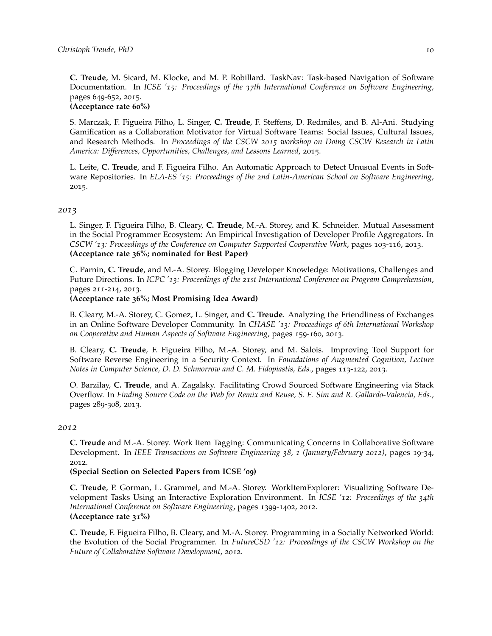**C. Treude**, M. Sicard, M. Klocke, and M. P. Robillard. TaskNav: Task-based Navigation of Software Documentation. In *ICSE '15: Proceedings of the 37th International Conference on Software Engineering*, pages 649-652, 2015.

### **(Acceptance rate 60%)**

S. Marczak, F. Figueira Filho, L. Singer, **C. Treude**, F. Steffens, D. Redmiles, and B. Al-Ani. Studying Gamification as a Collaboration Motivator for Virtual Software Teams: Social Issues, Cultural Issues, and Research Methods. In *Proceedings of the CSCW 2015 workshop on Doing CSCW Research in Latin America: Differences, Opportunities, Challenges, and Lessons Learned*, 2015.

L. Leite, **C. Treude**, and F. Figueira Filho. An Automatic Approach to Detect Unusual Events in Software Repositories. In *ELA-ES '15: Proceedings of the 2nd Latin-American School on Software Engineering*, 2015.

### *2013*

L. Singer, F. Figueira Filho, B. Cleary, **C. Treude**, M.-A. Storey, and K. Schneider. Mutual Assessment in the Social Programmer Ecosystem: An Empirical Investigation of Developer Profile Aggregators. In *CSCW '13: Proceedings of the Conference on Computer Supported Cooperative Work*, pages 103-116, 2013. **(Acceptance rate 36%; nominated for Best Paper)**

C. Parnin, **C. Treude**, and M.-A. Storey. Blogging Developer Knowledge: Motivations, Challenges and Future Directions. In *ICPC '13: Proceedings of the 21st International Conference on Program Comprehension*, pages 211-214, 2013.

#### **(Acceptance rate 36%; Most Promising Idea Award)**

B. Cleary, M.-A. Storey, C. Gomez, L. Singer, and **C. Treude**. Analyzing the Friendliness of Exchanges in an Online Software Developer Community. In *CHASE '13: Proceedings of 6th International Workshop on Cooperative and Human Aspects of Software Engineering*, pages 159-160, 2013.

B. Cleary, **C. Treude**, F. Figueira Filho, M.-A. Storey, and M. Salois. Improving Tool Support for Software Reverse Engineering in a Security Context. In *Foundations of Augmented Cognition, Lecture Notes in Computer Science, D. D. Schmorrow and C. M. Fidopiastis, Eds.*, pages 113-122, 2013.

O. Barzilay, **C. Treude**, and A. Zagalsky. Facilitating Crowd Sourced Software Engineering via Stack Overflow. In *Finding Source Code on the Web for Remix and Reuse, S. E. Sim and R. Gallardo-Valencia, Eds.*, pages 289-308, 2013.

#### *2012*

**C. Treude** and M.-A. Storey. Work Item Tagging: Communicating Concerns in Collaborative Software Development. In *IEEE Transactions on Software Engineering 38, 1 (January/February 2012)*, pages 19-34, 2012.

#### **(Special Section on Selected Papers from ICSE '09)**

**C. Treude**, P. Gorman, L. Grammel, and M.-A. Storey. WorkItemExplorer: Visualizing Software Development Tasks Using an Interactive Exploration Environment. In *ICSE '12: Proceedings of the 34th International Conference on Software Engineering*, pages 1399-1402, 2012. **(Acceptance rate 31%)**

**C. Treude**, F. Figueira Filho, B. Cleary, and M.-A. Storey. Programming in a Socially Networked World: the Evolution of the Social Programmer. In *FutureCSD '12: Proceedings of the CSCW Workshop on the Future of Collaborative Software Development*, 2012.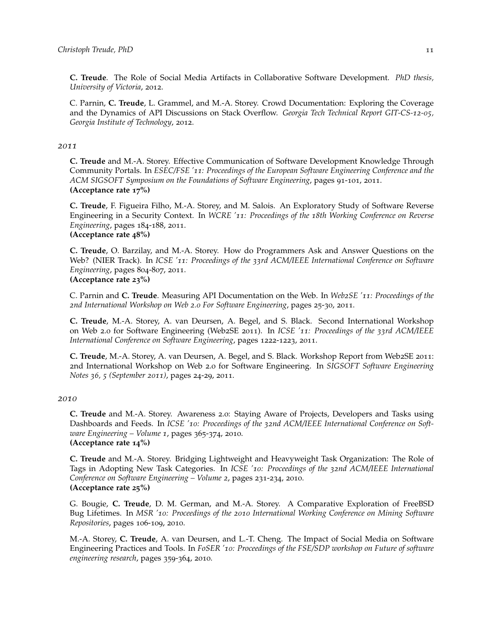**C. Treude**. The Role of Social Media Artifacts in Collaborative Software Development. *PhD thesis, University of Victoria*, 2012.

C. Parnin, **C. Treude**, L. Grammel, and M.-A. Storey. Crowd Documentation: Exploring the Coverage and the Dynamics of API Discussions on Stack Overflow. *Georgia Tech Technical Report GIT-CS-12-05, Georgia Institute of Technology*, 2012.

#### *2011*

**C. Treude** and M.-A. Storey. Effective Communication of Software Development Knowledge Through Community Portals. In *ESEC/FSE '11: Proceedings of the European Software Engineering Conference and the ACM SIGSOFT Symposium on the Foundations of Software Engineering*, pages 91-101, 2011. **(Acceptance rate 17%)**

**C. Treude**, F. Figueira Filho, M.-A. Storey, and M. Salois. An Exploratory Study of Software Reverse Engineering in a Security Context. In *WCRE '11: Proceedings of the 18th Working Conference on Reverse Engineering*, pages 184-188, 2011. **(Acceptance rate 48%)**

**C. Treude**, O. Barzilay, and M.-A. Storey. How do Programmers Ask and Answer Questions on the Web? (NIER Track). In *ICSE '11: Proceedings of the 33rd ACM/IEEE International Conference on Software Engineering*, pages 804-807, 2011. **(Acceptance rate 23%)**

C. Parnin and **C. Treude**. Measuring API Documentation on the Web. In *Web2SE '11: Proceedings of the 2nd International Workshop on Web 2.0 For Software Engineering*, pages 25-30, 2011.

**C. Treude**, M.-A. Storey, A. van Deursen, A. Begel, and S. Black. Second International Workshop on Web 2.0 for Software Engineering (Web2SE 2011). In *ICSE '11: Proceedings of the 33rd ACM/IEEE International Conference on Software Engineering*, pages 1222-1223, 2011.

**C. Treude**, M.-A. Storey, A. van Deursen, A. Begel, and S. Black. Workshop Report from Web2SE 2011: 2nd International Workshop on Web 2.0 for Software Engineering. In *SIGSOFT Software Engineering Notes 36, 5 (September 2011)*, pages 24-29, 2011.

#### *2010*

**C. Treude** and M.-A. Storey. Awareness 2.0: Staying Aware of Projects, Developers and Tasks using Dashboards and Feeds. In *ICSE '10: Proceedings of the 32nd ACM/IEEE International Conference on Software Engineering – Volume 1*, pages 365-374, 2010. **(Acceptance rate 14%)**

**C. Treude** and M.-A. Storey. Bridging Lightweight and Heavyweight Task Organization: The Role of Tags in Adopting New Task Categories. In *ICSE '10: Proceedings of the 32nd ACM/IEEE International Conference on Software Engineering – Volume 2*, pages 231-234, 2010. **(Acceptance rate 25%)**

G. Bougie, **C. Treude**, D. M. German, and M.-A. Storey. A Comparative Exploration of FreeBSD Bug Lifetimes. In *MSR '10: Proceedings of the 2010 International Working Conference on Mining Software Repositories*, pages 106-109, 2010.

M.-A. Storey, **C. Treude**, A. van Deursen, and L.-T. Cheng. The Impact of Social Media on Software Engineering Practices and Tools. In *FoSER '10: Proceedings of the FSE/SDP workshop on Future of software engineering research*, pages 359-364, 2010.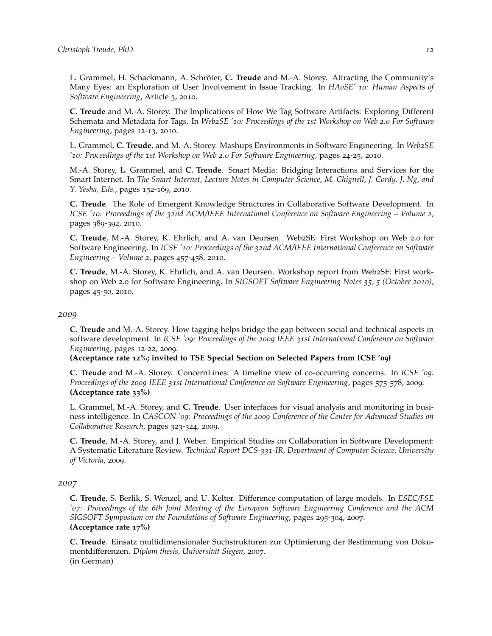L. Grammel, H. Schackmann, A. Schröter, **C. Treude** and M.-A. Storey. Attracting the Community's Many Eyes: an Exploration of User Involvement in Issue Tracking. In *HAoSE' 10: Human Aspects of Software Engineering*, Article 3, 2010.

**C. Treude** and M.-A. Storey. The Implications of How We Tag Software Artifacts: Exploring Different Schemata and Metadata for Tags. In *Web2SE '10: Proceedings of the 1st Workshop on Web 2.0 For Software Engineering*, pages 12-13, 2010.

L. Grammel, **C. Treude**, and M.-A. Storey. Mashups Environments in Software Engineering. In *Web2SE '10: Proceedings of the 1st Workshop on Web 2.0 For Software Engineering*, pages 24-25, 2010.

M.-A. Storey, L. Grammel, and **C. Treude**. Smart Media: Bridging Interactions and Services for the Smart Internet. In *The Smart Internet, Lecture Notes in Computer Science, M. Chignell, J. Cordy, J. Ng, and Y. Yesha, Eds.*, pages 152-169, 2010.

**C. Treude**. The Role of Emergent Knowledge Structures in Collaborative Software Development. In *ICSE '10: Proceedings of the 32nd ACM/IEEE International Conference on Software Engineering – Volume 2*, pages 389-392, 2010.

**C. Treude**, M.-A. Storey, K. Ehrlich, and A. van Deursen. Web2SE: First Workshop on Web 2.0 for Software Engineering. In *ICSE '10: Proceedings of the 32nd ACM/IEEE International Conference on Software Engineering – Volume 2*, pages 457-458, 2010.

**C. Treude**, M.-A. Storey, K. Ehrlich, and A. van Deursen. Workshop report from Web2SE: First workshop on Web 2.0 for Software Engineering. In *SIGSOFT Software Engineering Notes 35, 5 (October 2010)*, pages 45-50, 2010.

#### *2009*

**C. Treude** and M.-A. Storey. How tagging helps bridge the gap between social and technical aspects in software development. In *ICSE '09: Proceedings of the 2009 IEEE 31st International Conference on Software Engineering*, pages 12-22, 2009.

**(Acceptance rate 12%; invited to TSE Special Section on Selected Papers from ICSE '09)**

**C. Treude** and M.-A. Storey. ConcernLines: A timeline view of co-occurring concerns. In *ICSE '09: Proceedings of the 2009 IEEE 31st International Conference on Software Engineering*, pages 575-578, 2009. **(Acceptance rate 33%)**

L. Grammel, M.-A. Storey, and **C. Treude**. User interfaces for visual analysis and monitoring in business intelligence. In *CASCON '09: Proceedings of the 2009 Conference of the Center for Advanced Studies on Collaborative Research*, pages 323-324, 2009.

**C. Treude**, M.-A. Storey, and J. Weber. Empirical Studies on Collaboration in Software Development: A Systematic Literature Review. *Technical Report DCS-331-IR, Department of Computer Science, University of Victoria*, 2009.

#### *2007*

**C. Treude**, S. Berlik, S. Wenzel, and U. Kelter. Difference computation of large models. In *ESEC/FSE '07: Proceedings of the 6th Joint Meeting of the European Software Engineering Conference and the ACM SIGSOFT Symposium on the Foundations of Software Engineering*, pages 295-304, 2007. **(Acceptance rate 17%)**

**C. Treude**. Einsatz multidimensionaler Suchstrukturen zur Optimierung der Bestimmung von Dokumentdifferenzen. *Diplom thesis, Universität Siegen*, 2007. (in German)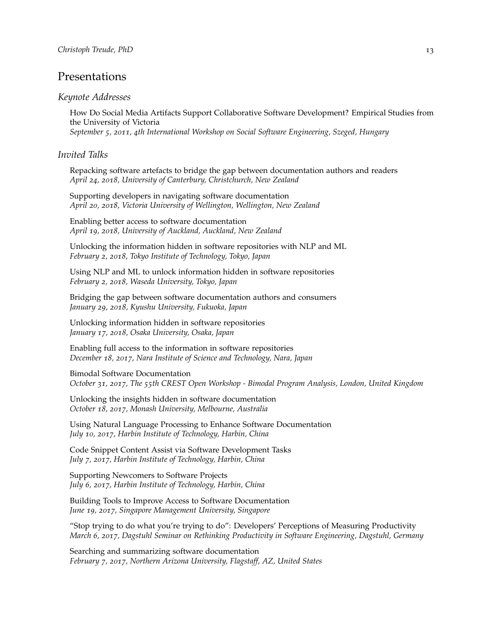# Presentations

### *Keynote Addresses*

How Do Social Media Artifacts Support Collaborative Software Development? Empirical Studies from the University of Victoria *September 5, 2011, 4th International Workshop on Social Software Engineering, Szeged, Hungary*

## *Invited Talks*

Repacking software artefacts to bridge the gap between documentation authors and readers *April 24, 2018, University of Canterbury, Christchurch, New Zealand*

Supporting developers in navigating software documentation *April 20, 2018, Victoria University of Wellington, Wellington, New Zealand*

Enabling better access to software documentation *April 19, 2018, University of Auckland, Auckland, New Zealand*

Unlocking the information hidden in software repositories with NLP and ML *February 2, 2018, Tokyo Institute of Technology, Tokyo, Japan*

Using NLP and ML to unlock information hidden in software repositories *February 2, 2018, Waseda University, Tokyo, Japan*

Bridging the gap between software documentation authors and consumers *January 29, 2018, Kyushu University, Fukuoka, Japan*

Unlocking information hidden in software repositories *January 17, 2018, Osaka University, Osaka, Japan*

Enabling full access to the information in software repositories *December 18, 2017, Nara Institute of Science and Technology, Nara, Japan*

Bimodal Software Documentation *October 31, 2017, The 55th CREST Open Workshop - Bimodal Program Analysis, London, United Kingdom*

Unlocking the insights hidden in software documentation *October 18, 2017, Monash University, Melbourne, Australia*

Using Natural Language Processing to Enhance Software Documentation *July 10, 2017, Harbin Institute of Technology, Harbin, China*

Code Snippet Content Assist via Software Development Tasks *July 7, 2017, Harbin Institute of Technology, Harbin, China*

Supporting Newcomers to Software Projects *July 6, 2017, Harbin Institute of Technology, Harbin, China*

Building Tools to Improve Access to Software Documentation *June 19, 2017, Singapore Management University, Singapore*

"Stop trying to do what you're trying to do": Developers' Perceptions of Measuring Productivity *March 6, 2017, Dagstuhl Seminar on Rethinking Productivity in Software Engineering, Dagstuhl, Germany*

Searching and summarizing software documentation *February 7, 2017, Northern Arizona University, Flagstaff, AZ, United States*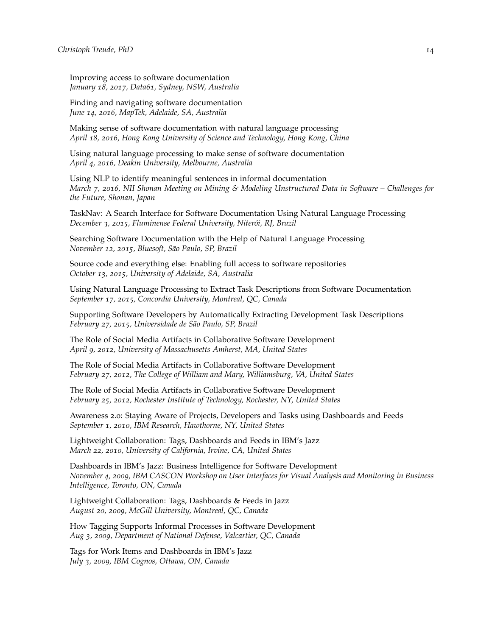Improving access to software documentation *January 18, 2017, Data61, Sydney, NSW, Australia*

Finding and navigating software documentation *June 14, 2016, MapTek, Adelaide, SA, Australia*

Making sense of software documentation with natural language processing *April 18, 2016, Hong Kong University of Science and Technology, Hong Kong, China*

Using natural language processing to make sense of software documentation *April 4, 2016, Deakin University, Melbourne, Australia*

Using NLP to identify meaningful sentences in informal documentation *March 7, 2016, NII Shonan Meeting on Mining & Modeling Unstructured Data in Software – Challenges for the Future, Shonan, Japan*

TaskNav: A Search Interface for Software Documentation Using Natural Language Processing *December 3, 2015, Fluminense Federal University, Niterói, RJ, Brazil*

Searching Software Documentation with the Help of Natural Language Processing *November 12, 2015, Bluesoft, São Paulo, SP, Brazil*

Source code and everything else: Enabling full access to software repositories *October 13, 2015, University of Adelaide, SA, Australia*

Using Natural Language Processing to Extract Task Descriptions from Software Documentation *September 17, 2015, Concordia University, Montreal, QC, Canada*

Supporting Software Developers by Automatically Extracting Development Task Descriptions *February 27, 2015, Universidade de São Paulo, SP, Brazil*

The Role of Social Media Artifacts in Collaborative Software Development *April 9, 2012, University of Massachusetts Amherst, MA, United States*

The Role of Social Media Artifacts in Collaborative Software Development *February 27, 2012, The College of William and Mary, Williamsburg, VA, United States*

The Role of Social Media Artifacts in Collaborative Software Development *February 25, 2012, Rochester Institute of Technology, Rochester, NY, United States*

Awareness 2.0: Staying Aware of Projects, Developers and Tasks using Dashboards and Feeds *September 1, 2010, IBM Research, Hawthorne, NY, United States*

Lightweight Collaboration: Tags, Dashboards and Feeds in IBM's Jazz *March 22, 2010, University of California, Irvine, CA, United States*

Dashboards in IBM's Jazz: Business Intelligence for Software Development *November 4, 2009, IBM CASCON Workshop on User Interfaces for Visual Analysis and Monitoring in Business Intelligence, Toronto, ON, Canada*

Lightweight Collaboration: Tags, Dashboards & Feeds in Jazz *August 20, 2009, McGill University, Montreal, QC, Canada*

How Tagging Supports Informal Processes in Software Development *Aug 3, 2009, Department of National Defense, Valcartier, QC, Canada*

Tags for Work Items and Dashboards in IBM's Jazz *July 3, 2009, IBM Cognos, Ottawa, ON, Canada*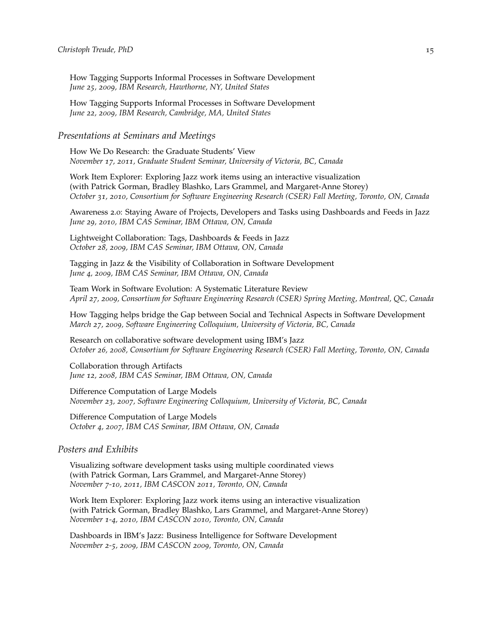How Tagging Supports Informal Processes in Software Development *June 25, 2009, IBM Research, Hawthorne, NY, United States*

How Tagging Supports Informal Processes in Software Development *June 22, 2009, IBM Research, Cambridge, MA, United States*

### *Presentations at Seminars and Meetings*

How We Do Research: the Graduate Students' View *November 17, 2011, Graduate Student Seminar, University of Victoria, BC, Canada*

Work Item Explorer: Exploring Jazz work items using an interactive visualization (with Patrick Gorman, Bradley Blashko, Lars Grammel, and Margaret-Anne Storey) *October 31, 2010, Consortium for Software Engineering Research (CSER) Fall Meeting, Toronto, ON, Canada*

Awareness 2.0: Staying Aware of Projects, Developers and Tasks using Dashboards and Feeds in Jazz *June 29, 2010, IBM CAS Seminar, IBM Ottawa, ON, Canada*

Lightweight Collaboration: Tags, Dashboards & Feeds in Jazz *October 28, 2009, IBM CAS Seminar, IBM Ottawa, ON, Canada*

Tagging in Jazz & the Visibility of Collaboration in Software Development *June 4, 2009, IBM CAS Seminar, IBM Ottawa, ON, Canada*

Team Work in Software Evolution: A Systematic Literature Review *April 27, 2009, Consortium for Software Engineering Research (CSER) Spring Meeting, Montreal, QC, Canada*

How Tagging helps bridge the Gap between Social and Technical Aspects in Software Development *March 27, 2009, Software Engineering Colloquium, University of Victoria, BC, Canada*

Research on collaborative software development using IBM's Jazz *October 26, 2008, Consortium for Software Engineering Research (CSER) Fall Meeting, Toronto, ON, Canada*

Collaboration through Artifacts *June 12, 2008, IBM CAS Seminar, IBM Ottawa, ON, Canada*

Difference Computation of Large Models *November 23, 2007, Software Engineering Colloquium, University of Victoria, BC, Canada*

Difference Computation of Large Models *October 4, 2007, IBM CAS Seminar, IBM Ottawa, ON, Canada*

### *Posters and Exhibits*

Visualizing software development tasks using multiple coordinated views (with Patrick Gorman, Lars Grammel, and Margaret-Anne Storey) *November 7-10, 2011, IBM CASCON 2011, Toronto, ON, Canada*

Work Item Explorer: Exploring Jazz work items using an interactive visualization (with Patrick Gorman, Bradley Blashko, Lars Grammel, and Margaret-Anne Storey) *November 1-4, 2010, IBM CASCON 2010, Toronto, ON, Canada*

Dashboards in IBM's Jazz: Business Intelligence for Software Development *November 2-5, 2009, IBM CASCON 2009, Toronto, ON, Canada*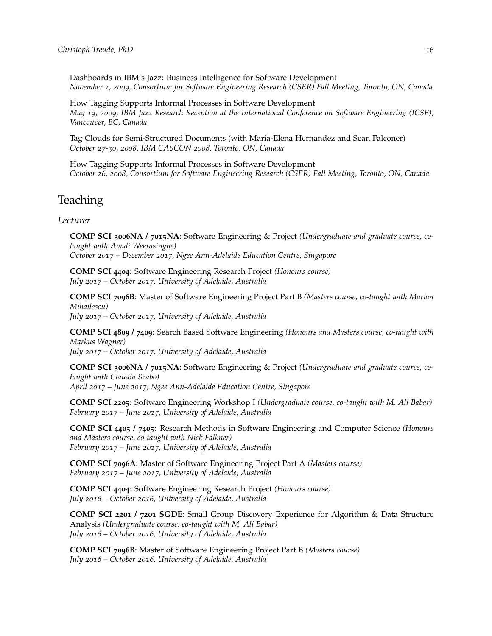Dashboards in IBM's Jazz: Business Intelligence for Software Development *November 1, 2009, Consortium for Software Engineering Research (CSER) Fall Meeting, Toronto, ON, Canada*

How Tagging Supports Informal Processes in Software Development *May 19, 2009, IBM Jazz Research Reception at the International Conference on Software Engineering (ICSE), Vancouver, BC, Canada*

Tag Clouds for Semi-Structured Documents (with Maria-Elena Hernandez and Sean Falconer) *October 27-30, 2008, IBM CASCON 2008, Toronto, ON, Canada*

How Tagging Supports Informal Processes in Software Development *October 26, 2008, Consortium for Software Engineering Research (CSER) Fall Meeting, Toronto, ON, Canada*

# Teaching

# *Lecturer*

**COMP SCI 3006NA / 7015NA**: Software Engineering & Project *(Undergraduate and graduate course, cotaught with Amali Weerasinghe) October 2017 – December 2017, Ngee Ann-Adelaide Education Centre, Singapore*

**COMP SCI 4404**: Software Engineering Research Project *(Honours course) July 2017 – October 2017, University of Adelaide, Australia*

**COMP SCI 7096B**: Master of Software Engineering Project Part B *(Masters course, co-taught with Marian Mihailescu) July 2017 – October 2017, University of Adelaide, Australia*

**COMP SCI 4809 / 7409**: Search Based Software Engineering *(Honours and Masters course, co-taught with Markus Wagner)*

*July 2017 – October 2017, University of Adelaide, Australia*

**COMP SCI 3006NA / 7015NA**: Software Engineering & Project *(Undergraduate and graduate course, cotaught with Claudia Szabo) April 2017 – June 2017, Ngee Ann-Adelaide Education Centre, Singapore*

**COMP SCI 2205**: Software Engineering Workshop I *(Undergraduate course, co-taught with M. Ali Babar) February 2017 – June 2017, University of Adelaide, Australia*

**COMP SCI 4405 / 7405**: Research Methods in Software Engineering and Computer Science *(Honours and Masters course, co-taught with Nick Falkner) February 2017 – June 2017, University of Adelaide, Australia*

**COMP SCI 7096A**: Master of Software Engineering Project Part A *(Masters course) February 2017 – June 2017, University of Adelaide, Australia*

**COMP SCI 4404**: Software Engineering Research Project *(Honours course) July 2016 – October 2016, University of Adelaide, Australia*

**COMP SCI 2201 / 7201 SGDE**: Small Group Discovery Experience for Algorithm & Data Structure Analysis *(Undergraduate course, co-taught with M. Ali Babar) July 2016 – October 2016, University of Adelaide, Australia*

**COMP SCI 7096B**: Master of Software Engineering Project Part B *(Masters course) July 2016 – October 2016, University of Adelaide, Australia*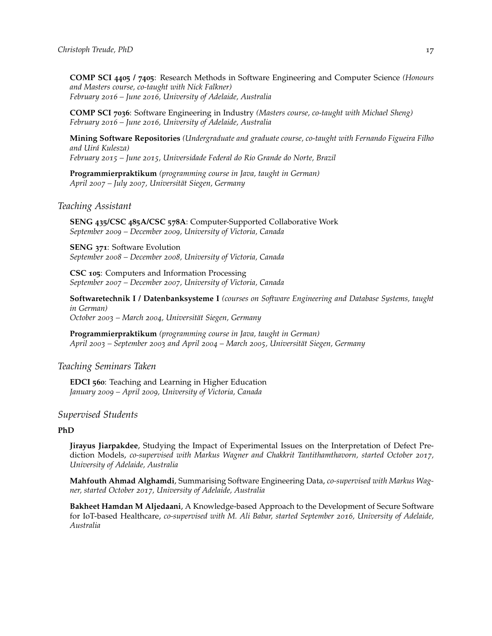**COMP SCI 4405 / 7405**: Research Methods in Software Engineering and Computer Science *(Honours and Masters course, co-taught with Nick Falkner) February 2016 – June 2016, University of Adelaide, Australia*

**COMP SCI 7036**: Software Engineering in Industry *(Masters course, co-taught with Michael Sheng) February 2016 – June 2016, University of Adelaide, Australia*

**Mining Software Repositories** *(Undergraduate and graduate course, co-taught with Fernando Figueira Filho and Uirá Kulesza) February 2015 – June 2015, Universidade Federal do Rio Grande do Norte, Brazil*

**Programmierpraktikum** *(programming course in Java, taught in German) April 2007 – July 2007, Universität Siegen, Germany*

#### *Teaching Assistant*

**SENG 435/CSC 485A/CSC 578A**: Computer-Supported Collaborative Work *September 2009 – December 2009, University of Victoria, Canada*

**SENG 371**: Software Evolution *September 2008 – December 2008, University of Victoria, Canada*

**CSC 105**: Computers and Information Processing *September 2007 – December 2007, University of Victoria, Canada*

**Softwaretechnik I / Datenbanksysteme I** *(courses on Software Engineering and Database Systems, taught in German) October 2003 – March 2004, Universität Siegen, Germany*

**Programmierpraktikum** *(programming course in Java, taught in German) April 2003 – September 2003 and April 2004 – March 2005, Universität Siegen, Germany*

## *Teaching Seminars Taken*

**EDCI 560**: Teaching and Learning in Higher Education *January 2009 – April 2009, University of Victoria, Canada*

# *Supervised Students*

#### **PhD**

**Jirayus Jiarpakdee**, Studying the Impact of Experimental Issues on the Interpretation of Defect Prediction Models, *co-supervised with Markus Wagner and Chakkrit Tantithamthavorn, started October 2017, University of Adelaide, Australia*

**Mahfouth Ahmad Alghamdi**, Summarising Software Engineering Data, *co-supervised with Markus Wagner, started October 2017, University of Adelaide, Australia*

**Bakheet Hamdan M Aljedaani**, A Knowledge-based Approach to the Development of Secure Software for IoT-based Healthcare, *co-supervised with M. Ali Babar, started September 2016, University of Adelaide, Australia*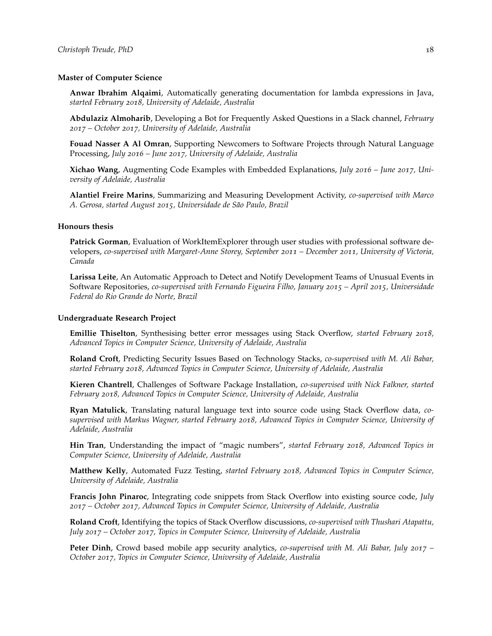#### **Master of Computer Science**

**Anwar Ibrahim Alqaimi**, Automatically generating documentation for lambda expressions in Java, *started February 2018, University of Adelaide, Australia*

**Abdulaziz Almoharib**, Developing a Bot for Frequently Asked Questions in a Slack channel, *February 2017 – October 2017, University of Adelaide, Australia*

**Fouad Nasser A Al Omran**, Supporting Newcomers to Software Projects through Natural Language Processing, *July 2016 – June 2017, University of Adelaide, Australia*

**Xichao Wang**, Augmenting Code Examples with Embedded Explanations, *July 2016 – June 2017, University of Adelaide, Australia*

**Alantiel Freire Marins**, Summarizing and Measuring Development Activity, *co-supervised with Marco A. Gerosa, started August 2015, Universidade de São Paulo, Brazil*

#### **Honours thesis**

**Patrick Gorman**, Evaluation of WorkItemExplorer through user studies with professional software developers, *co-supervised with Margaret-Anne Storey, September 2011 – December 2011, University of Victoria, Canada*

**Larissa Leite**, An Automatic Approach to Detect and Notify Development Teams of Unusual Events in Software Repositories, *co-supervised with Fernando Figueira Filho, January 2015 – April 2015, Universidade Federal do Rio Grande do Norte, Brazil*

#### **Undergraduate Research Project**

**Emillie Thiselton**, Synthesising better error messages using Stack Overflow, *started February 2018, Advanced Topics in Computer Science, University of Adelaide, Australia*

**Roland Croft**, Predicting Security Issues Based on Technology Stacks, *co-supervised with M. Ali Babar, started February 2018, Advanced Topics in Computer Science, University of Adelaide, Australia*

**Kieren Chantrell**, Challenges of Software Package Installation, *co-supervised with Nick Falkner, started February 2018, Advanced Topics in Computer Science, University of Adelaide, Australia*

**Ryan Matulick**, Translating natural language text into source code using Stack Overflow data, *cosupervised with Markus Wagner, started February 2018, Advanced Topics in Computer Science, University of Adelaide, Australia*

**Hin Tran**, Understanding the impact of "magic numbers", *started February 2018, Advanced Topics in Computer Science, University of Adelaide, Australia*

**Matthew Kelly**, Automated Fuzz Testing, *started February 2018, Advanced Topics in Computer Science, University of Adelaide, Australia*

**Francis John Pinaroc**, Integrating code snippets from Stack Overflow into existing source code, *July 2017 – October 2017, Advanced Topics in Computer Science, University of Adelaide, Australia*

**Roland Croft**, Identifying the topics of Stack Overflow discussions, *co-supervised with Thushari Atapattu, July 2017 – October 2017, Topics in Computer Science, University of Adelaide, Australia*

**Peter Dinh**, Crowd based mobile app security analytics, *co-supervised with M. Ali Babar, July 2017 – October 2017, Topics in Computer Science, University of Adelaide, Australia*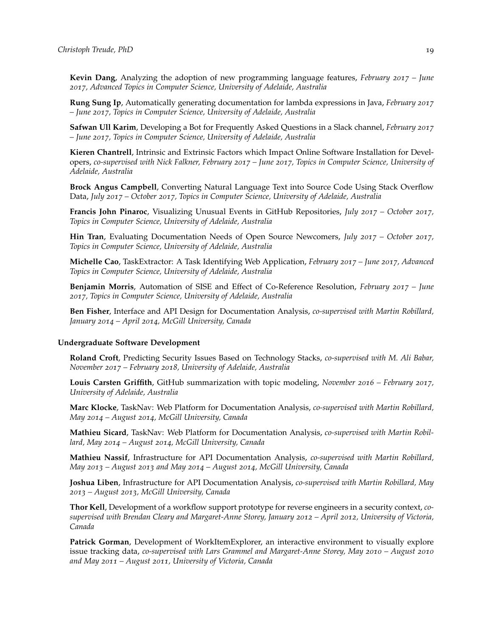**Kevin Dang**, Analyzing the adoption of new programming language features, *February 2017 – June 2017, Advanced Topics in Computer Science, University of Adelaide, Australia*

**Rung Sung Ip**, Automatically generating documentation for lambda expressions in Java, *February 2017 – June 2017, Topics in Computer Science, University of Adelaide, Australia*

**Safwan Ull Karim**, Developing a Bot for Frequently Asked Questions in a Slack channel, *February 2017 – June 2017, Topics in Computer Science, University of Adelaide, Australia*

**Kieren Chantrell**, Intrinsic and Extrinsic Factors which Impact Online Software Installation for Developers, *co-supervised with Nick Falkner, February 2017 – June 2017, Topics in Computer Science, University of Adelaide, Australia*

**Brock Angus Campbell**, Converting Natural Language Text into Source Code Using Stack Overflow Data, *July 2017 – October 2017, Topics in Computer Science, University of Adelaide, Australia*

**Francis John Pinaroc**, Visualizing Unusual Events in GitHub Repositories, *July 2017 – October 2017, Topics in Computer Science, University of Adelaide, Australia*

**Hin Tran**, Evaluating Documentation Needs of Open Source Newcomers, *July 2017 – October 2017, Topics in Computer Science, University of Adelaide, Australia*

**Michelle Cao**, TaskExtractor: A Task Identifying Web Application, *February 2017 – June 2017, Advanced Topics in Computer Science, University of Adelaide, Australia*

**Benjamin Morris**, Automation of SISE and Effect of Co-Reference Resolution, *February 2017 – June 2017, Topics in Computer Science, University of Adelaide, Australia*

**Ben Fisher**, Interface and API Design for Documentation Analysis, *co-supervised with Martin Robillard, January 2014 – April 2014, McGill University, Canada*

#### **Undergraduate Software Development**

**Roland Croft**, Predicting Security Issues Based on Technology Stacks, *co-supervised with M. Ali Babar, November 2017 – February 2018, University of Adelaide, Australia*

**Louis Carsten Griffith**, GitHub summarization with topic modeling, *November 2016 – February 2017, University of Adelaide, Australia*

**Marc Klocke**, TaskNav: Web Platform for Documentation Analysis, *co-supervised with Martin Robillard, May 2014 – August 2014, McGill University, Canada*

**Mathieu Sicard**, TaskNav: Web Platform for Documentation Analysis, *co-supervised with Martin Robillard, May 2014 – August 2014, McGill University, Canada*

**Mathieu Nassif**, Infrastructure for API Documentation Analysis, *co-supervised with Martin Robillard, May 2013 – August 2013 and May 2014 – August 2014, McGill University, Canada*

**Joshua Liben**, Infrastructure for API Documentation Analysis, *co-supervised with Martin Robillard, May 2013 – August 2013, McGill University, Canada*

**Thor Kell**, Development of a workflow support prototype for reverse engineers in a security context, *cosupervised with Brendan Cleary and Margaret-Anne Storey, January 2012 – April 2012, University of Victoria, Canada*

**Patrick Gorman**, Development of WorkItemExplorer, an interactive environment to visually explore issue tracking data, *co-supervised with Lars Grammel and Margaret-Anne Storey, May 2010 – August 2010 and May 2011 – August 2011, University of Victoria, Canada*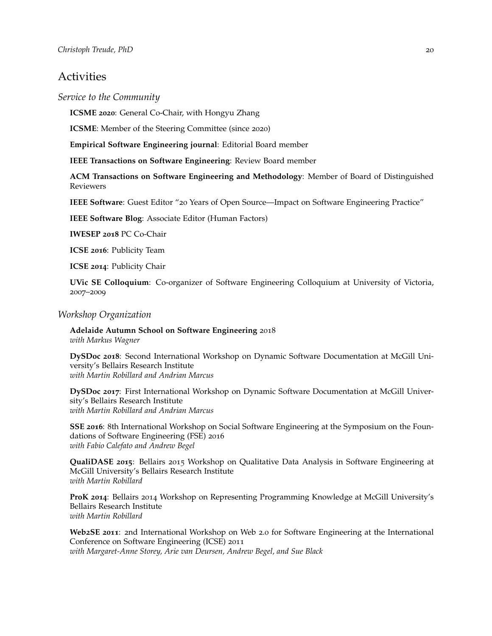# **Activities**

*Service to the Community*

**ICSME 2020**: General Co-Chair, with Hongyu Zhang

**ICSME**: Member of the Steering Committee (since 2020)

**Empirical Software Engineering journal**: Editorial Board member

**IEEE Transactions on Software Engineering**: Review Board member

**ACM Transactions on Software Engineering and Methodology**: Member of Board of Distinguished Reviewers

**IEEE Software**: Guest Editor "20 Years of Open Source—Impact on Software Engineering Practice"

**IEEE Software Blog**: Associate Editor (Human Factors)

**IWESEP 2018** PC Co-Chair

**ICSE 2016**: Publicity Team

**ICSE 2014**: Publicity Chair

**UVic SE Colloquium**: Co-organizer of Software Engineering Colloquium at University of Victoria, 2007–2009

# *Workshop Organization*

**Adelaide Autumn School on Software Engineering** 2018 *with Markus Wagner*

**DySDoc 2018**: Second International Workshop on Dynamic Software Documentation at McGill University's Bellairs Research Institute *with Martin Robillard and Andrian Marcus*

**DySDoc 2017**: First International Workshop on Dynamic Software Documentation at McGill University's Bellairs Research Institute *with Martin Robillard and Andrian Marcus*

**SSE 2016**: 8th International Workshop on Social Software Engineering at the Symposium on the Foundations of Software Engineering (FSE) 2016 *with Fabio Calefato and Andrew Begel*

**QualiDASE 2015**: Bellairs 2015 Workshop on Qualitative Data Analysis in Software Engineering at McGill University's Bellairs Research Institute *with Martin Robillard*

**ProK 2014**: Bellairs 2014 Workshop on Representing Programming Knowledge at McGill University's Bellairs Research Institute *with Martin Robillard*

**Web2SE 2011**: 2nd International Workshop on Web 2.0 for Software Engineering at the International Conference on Software Engineering (ICSE) 2011 *with Margaret-Anne Storey, Arie van Deursen, Andrew Begel, and Sue Black*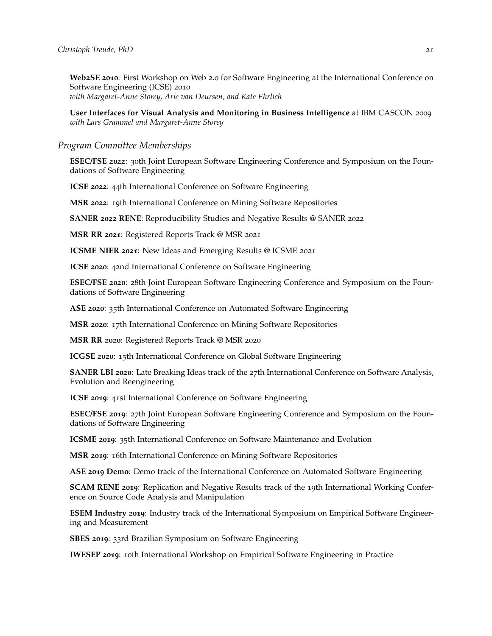**Web2SE 2010**: First Workshop on Web 2.0 for Software Engineering at the International Conference on Software Engineering (ICSE) 2010 *with Margaret-Anne Storey, Arie van Deursen, and Kate Ehrlich*

**User Interfaces for Visual Analysis and Monitoring in Business Intelligence** at IBM CASCON 2009 *with Lars Grammel and Margaret-Anne Storey*

#### *Program Committee Memberships*

**ESEC/FSE 2022**: 30th Joint European Software Engineering Conference and Symposium on the Foundations of Software Engineering

**ICSE 2022**: 44th International Conference on Software Engineering

**MSR 2022**: 19th International Conference on Mining Software Repositories

**SANER 2022 RENE**: Reproducibility Studies and Negative Results @ SANER 2022

**MSR RR 2021**: Registered Reports Track @ MSR 2021

**ICSME NIER 2021**: New Ideas and Emerging Results @ ICSME 2021

**ICSE 2020**: 42nd International Conference on Software Engineering

**ESEC/FSE 2020**: 28th Joint European Software Engineering Conference and Symposium on the Foundations of Software Engineering

**ASE 2020**: 35th International Conference on Automated Software Engineering

**MSR 2020**: 17th International Conference on Mining Software Repositories

**MSR RR 2020**: Registered Reports Track @ MSR 2020

**ICGSE 2020**: 15th International Conference on Global Software Engineering

**SANER LBI 2020**: Late Breaking Ideas track of the 27th International Conference on Software Analysis, Evolution and Reengineering

**ICSE 2019**: 41st International Conference on Software Engineering

**ESEC/FSE 2019**: 27th Joint European Software Engineering Conference and Symposium on the Foundations of Software Engineering

**ICSME 2019**: 35th International Conference on Software Maintenance and Evolution

**MSR 2019**: 16th International Conference on Mining Software Repositories

**ASE 2019 Demo**: Demo track of the International Conference on Automated Software Engineering

**SCAM RENE 2019**: Replication and Negative Results track of the 19th International Working Conference on Source Code Analysis and Manipulation

**ESEM Industry 2019**: Industry track of the International Symposium on Empirical Software Engineering and Measurement

**SBES 2019**: 33rd Brazilian Symposium on Software Engineering

**IWESEP 2019**: 10th International Workshop on Empirical Software Engineering in Practice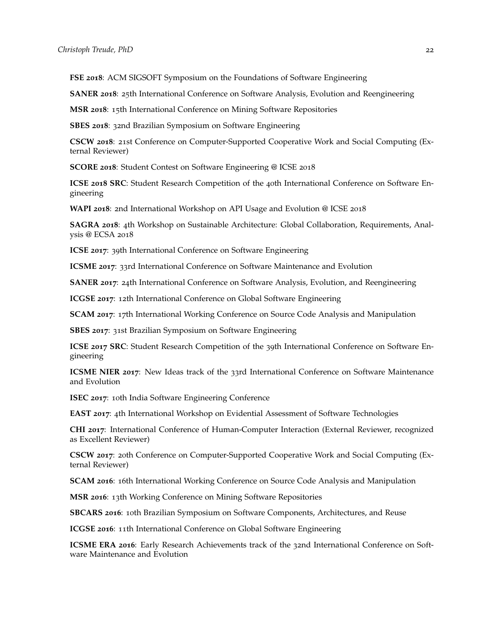**FSE 2018**: ACM SIGSOFT Symposium on the Foundations of Software Engineering

**SANER 2018**: 25th International Conference on Software Analysis, Evolution and Reengineering

**MSR 2018**: 15th International Conference on Mining Software Repositories

**SBES 2018**: 32nd Brazilian Symposium on Software Engineering

**CSCW 2018**: 21st Conference on Computer-Supported Cooperative Work and Social Computing (External Reviewer)

**SCORE 2018**: Student Contest on Software Engineering @ ICSE 2018

**ICSE 2018 SRC**: Student Research Competition of the 40th International Conference on Software Engineering

**WAPI 2018**: 2nd International Workshop on API Usage and Evolution @ ICSE 2018

**SAGRA 2018**: 4th Workshop on Sustainable Architecture: Global Collaboration, Requirements, Analysis @ ECSA 2018

**ICSE 2017**: 39th International Conference on Software Engineering

**ICSME 2017**: 33rd International Conference on Software Maintenance and Evolution

**SANER 2017**: 24th International Conference on Software Analysis, Evolution, and Reengineering

**ICGSE 2017**: 12th International Conference on Global Software Engineering

**SCAM 2017**: 17th International Working Conference on Source Code Analysis and Manipulation

**SBES 2017**: 31st Brazilian Symposium on Software Engineering

**ICSE 2017 SRC**: Student Research Competition of the 39th International Conference on Software Engineering

**ICSME NIER 2017**: New Ideas track of the 33rd International Conference on Software Maintenance and Evolution

**ISEC 2017**: 10th India Software Engineering Conference

**EAST 2017**: 4th International Workshop on Evidential Assessment of Software Technologies

**CHI 2017**: International Conference of Human-Computer Interaction (External Reviewer, recognized as Excellent Reviewer)

**CSCW 2017**: 20th Conference on Computer-Supported Cooperative Work and Social Computing (External Reviewer)

**SCAM 2016**: 16th International Working Conference on Source Code Analysis and Manipulation

**MSR 2016**: 13th Working Conference on Mining Software Repositories

**SBCARS 2016**: 10th Brazilian Symposium on Software Components, Architectures, and Reuse

**ICGSE 2016**: 11th International Conference on Global Software Engineering

**ICSME ERA 2016**: Early Research Achievements track of the 32nd International Conference on Software Maintenance and Evolution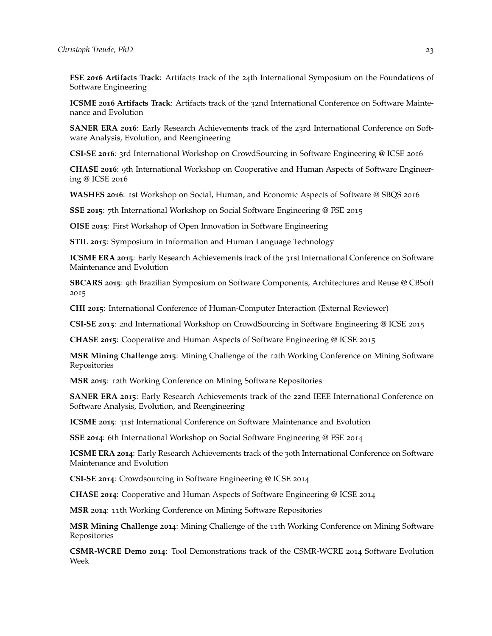**FSE 2016 Artifacts Track**: Artifacts track of the 24th International Symposium on the Foundations of Software Engineering

**ICSME 2016 Artifacts Track**: Artifacts track of the 32nd International Conference on Software Maintenance and Evolution

**SANER ERA 2016**: Early Research Achievements track of the 23rd International Conference on Software Analysis, Evolution, and Reengineering

**CSI-SE 2016**: 3rd International Workshop on CrowdSourcing in Software Engineering @ ICSE 2016

**CHASE 2016**: 9th International Workshop on Cooperative and Human Aspects of Software Engineering @ ICSE 2016

**WASHES 2016**: 1st Workshop on Social, Human, and Economic Aspects of Software @ SBQS 2016

**SSE 2015**: 7th International Workshop on Social Software Engineering @ FSE 2015

**OISE 2015**: First Workshop of Open Innovation in Software Engineering

**STIL 2015**: Symposium in Information and Human Language Technology

**ICSME ERA 2015**: Early Research Achievements track of the 31st International Conference on Software Maintenance and Evolution

**SBCARS 2015**: 9th Brazilian Symposium on Software Components, Architectures and Reuse @ CBSoft 2015

**CHI 2015**: International Conference of Human-Computer Interaction (External Reviewer)

**CSI-SE 2015**: 2nd International Workshop on CrowdSourcing in Software Engineering @ ICSE 2015

**CHASE 2015**: Cooperative and Human Aspects of Software Engineering @ ICSE 2015

**MSR Mining Challenge 2015**: Mining Challenge of the 12th Working Conference on Mining Software Repositories

**MSR 2015**: 12th Working Conference on Mining Software Repositories

**SANER ERA 2015**: Early Research Achievements track of the 22nd IEEE International Conference on Software Analysis, Evolution, and Reengineering

**ICSME 2015**: 31st International Conference on Software Maintenance and Evolution

**SSE 2014**: 6th International Workshop on Social Software Engineering @ FSE 2014

**ICSME ERA 2014:** Early Research Achievements track of the 30th International Conference on Software Maintenance and Evolution

**CSI-SE 2014**: Crowdsourcing in Software Engineering @ ICSE 2014

**CHASE 2014**: Cooperative and Human Aspects of Software Engineering @ ICSE 2014

**MSR 2014**: 11th Working Conference on Mining Software Repositories

**MSR Mining Challenge 2014**: Mining Challenge of the 11th Working Conference on Mining Software Repositories

**CSMR-WCRE Demo 2014**: Tool Demonstrations track of the CSMR-WCRE 2014 Software Evolution Week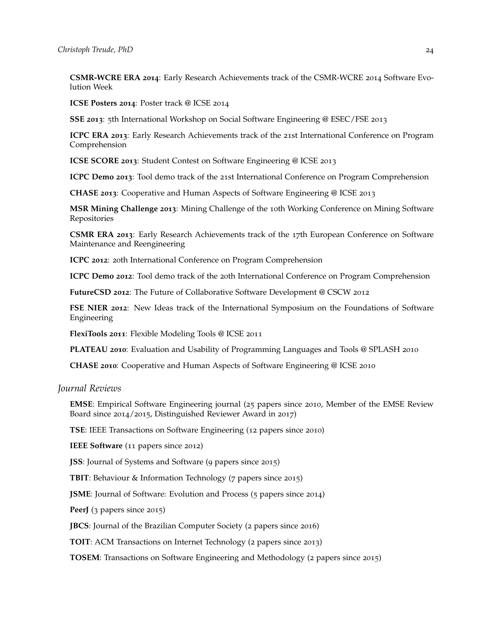**CSMR-WCRE ERA 2014**: Early Research Achievements track of the CSMR-WCRE 2014 Software Evolution Week

**ICSE Posters 2014**: Poster track @ ICSE 2014

**SSE 2013**: 5th International Workshop on Social Software Engineering @ ESEC/FSE 2013

**ICPC ERA 2013**: Early Research Achievements track of the 21st International Conference on Program Comprehension

**ICSE SCORE 2013**: Student Contest on Software Engineering @ ICSE 2013

**ICPC Demo 2013**: Tool demo track of the 21st International Conference on Program Comprehension

**CHASE 2013**: Cooperative and Human Aspects of Software Engineering @ ICSE 2013

**MSR Mining Challenge 2013**: Mining Challenge of the 10th Working Conference on Mining Software Repositories

**CSMR ERA 2013**: Early Research Achievements track of the 17th European Conference on Software Maintenance and Reengineering

**ICPC 2012**: 20th International Conference on Program Comprehension

**ICPC Demo 2012**: Tool demo track of the 20th International Conference on Program Comprehension

**FutureCSD 2012**: The Future of Collaborative Software Development @ CSCW 2012

**FSE NIER 2012**: New Ideas track of the International Symposium on the Foundations of Software Engineering

**FlexiTools 2011**: Flexible Modeling Tools @ ICSE 2011

**PLATEAU 2010**: Evaluation and Usability of Programming Languages and Tools @ SPLASH 2010

**CHASE 2010**: Cooperative and Human Aspects of Software Engineering @ ICSE 2010

*Journal Reviews*

**EMSE**: Empirical Software Engineering journal (25 papers since 2010, Member of the EMSE Review Board since 2014/2015, Distinguished Reviewer Award in 2017)

**TSE**: IEEE Transactions on Software Engineering (12 papers since 2010)

**IEEE Software** (11 papers since 2012)

**JSS**: Journal of Systems and Software (9 papers since 2015)

**TBIT**: Behaviour & Information Technology (7 papers since 2015)

**JSME**: Journal of Software: Evolution and Process (5 papers since 2014)

**PeerJ** (3 papers since 2015)

**JBCS**: Journal of the Brazilian Computer Society (2 papers since 2016)

**TOIT**: ACM Transactions on Internet Technology (2 papers since 2013)

**TOSEM**: Transactions on Software Engineering and Methodology (2 papers since 2015)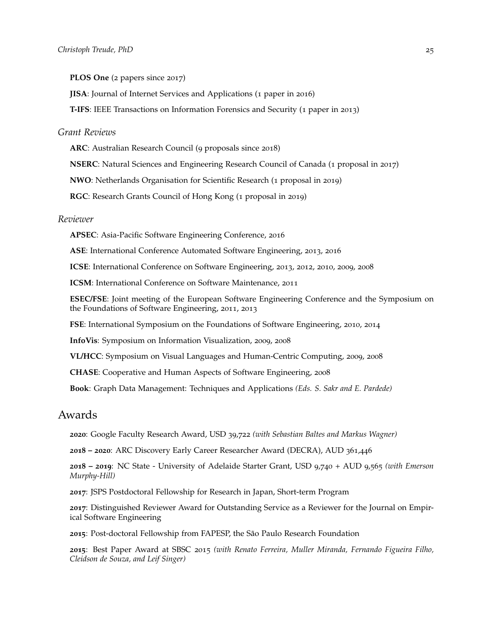**PLOS One** (2 papers since 2017)

**JISA**: Journal of Internet Services and Applications (1 paper in 2016)

**T-IFS**: IEEE Transactions on Information Forensics and Security (1 paper in 2013)

### *Grant Reviews*

**ARC**: Australian Research Council (9 proposals since 2018)

**NSERC**: Natural Sciences and Engineering Research Council of Canada (1 proposal in 2017)

**NWO**: Netherlands Organisation for Scientific Research (1 proposal in 2019)

**RGC**: Research Grants Council of Hong Kong (1 proposal in 2019)

#### *Reviewer*

**APSEC**: Asia-Pacific Software Engineering Conference, 2016

**ASE**: International Conference Automated Software Engineering, 2013, 2016

**ICSE**: International Conference on Software Engineering, 2013, 2012, 2010, 2009, 2008

**ICSM**: International Conference on Software Maintenance, 2011

**ESEC/FSE**: Joint meeting of the European Software Engineering Conference and the Symposium on the Foundations of Software Engineering, 2011, 2013

**FSE**: International Symposium on the Foundations of Software Engineering, 2010, 2014

**InfoVis**: Symposium on Information Visualization, 2009, 2008

**VL/HCC**: Symposium on Visual Languages and Human-Centric Computing, 2009, 2008

**CHASE**: Cooperative and Human Aspects of Software Engineering, 2008

**Book**: Graph Data Management: Techniques and Applications *(Eds. S. Sakr and E. Pardede)*

# Awards

**2020**: Google Faculty Research Award, USD 39,722 *(with Sebastian Baltes and Markus Wagner)*

**2018 – 2020**: ARC Discovery Early Career Researcher Award (DECRA), AUD 361,446

**2018 – 2019**: NC State - University of Adelaide Starter Grant, USD 9,740 + AUD 9,565 *(with Emerson Murphy-Hill)*

**2017**: JSPS Postdoctoral Fellowship for Research in Japan, Short-term Program

**2017**: Distinguished Reviewer Award for Outstanding Service as a Reviewer for the Journal on Empirical Software Engineering

**2015**: Post-doctoral Fellowship from FAPESP, the São Paulo Research Foundation

**2015**: Best Paper Award at SBSC 2015 *(with Renato Ferreira, Muller Miranda, Fernando Figueira Filho, Cleidson de Souza, and Leif Singer)*